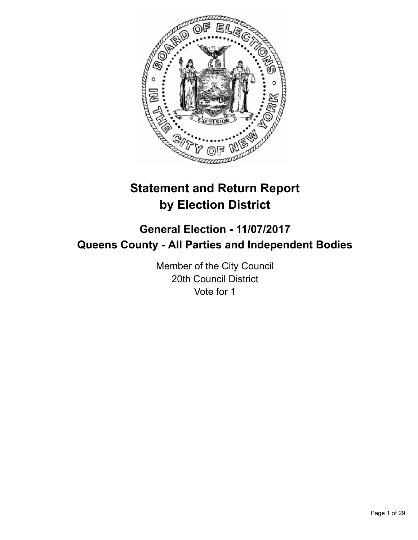

# **Statement and Return Report by Election District**

## **General Election - 11/07/2017 Queens County - All Parties and Independent Bodies**

Member of the City Council 20th Council District Vote for 1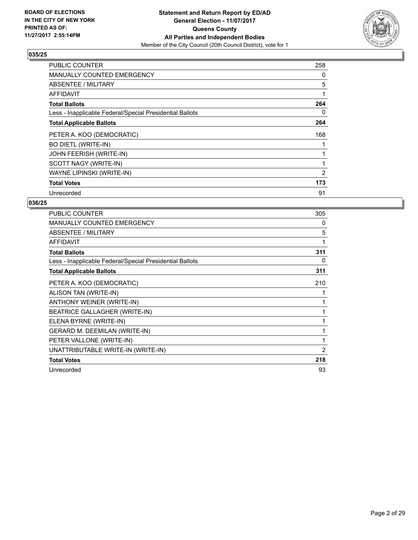

| <b>PUBLIC COUNTER</b>                                    | 258 |
|----------------------------------------------------------|-----|
| <b>MANUALLY COUNTED EMERGENCY</b>                        | 0   |
| <b>ABSENTEE / MILITARY</b>                               | 5   |
| AFFIDAVIT                                                | 1   |
| <b>Total Ballots</b>                                     | 264 |
| Less - Inapplicable Federal/Special Presidential Ballots | 0   |
| <b>Total Applicable Ballots</b>                          | 264 |
| PETER A. KOO (DEMOCRATIC)                                | 168 |
| <b>BO DIETL (WRITE-IN)</b>                               |     |
| <b>JOHN FEERISH (WRITE-IN)</b>                           |     |
| SCOTT NAGY (WRITE-IN)                                    |     |
| WAYNE LIPINSKI (WRITE-IN)                                | 2   |
| <b>Total Votes</b>                                       | 173 |
| Unrecorded                                               | 91  |

| <b>PUBLIC COUNTER</b>                                    | 305            |
|----------------------------------------------------------|----------------|
| <b>MANUALLY COUNTED EMERGENCY</b>                        | 0              |
| ABSENTEE / MILITARY                                      | 5              |
| <b>AFFIDAVIT</b>                                         | 1              |
| <b>Total Ballots</b>                                     | 311            |
| Less - Inapplicable Federal/Special Presidential Ballots | 0              |
| <b>Total Applicable Ballots</b>                          | 311            |
| PETER A. KOO (DEMOCRATIC)                                | 210            |
| ALISON TAN (WRITE-IN)                                    |                |
| ANTHONY WEINER (WRITE-IN)                                | 1              |
| <b>BEATRICE GALLAGHER (WRITE-IN)</b>                     | 1              |
| ELENA BYRNE (WRITE-IN)                                   | 1              |
| <b>GERARD M. DEEMILAN (WRITE-IN)</b>                     | 1              |
| PETER VALLONE (WRITE-IN)                                 | 1              |
| UNATTRIBUTABLE WRITE-IN (WRITE-IN)                       | $\overline{2}$ |
| <b>Total Votes</b>                                       | 218            |
| Unrecorded                                               | 93             |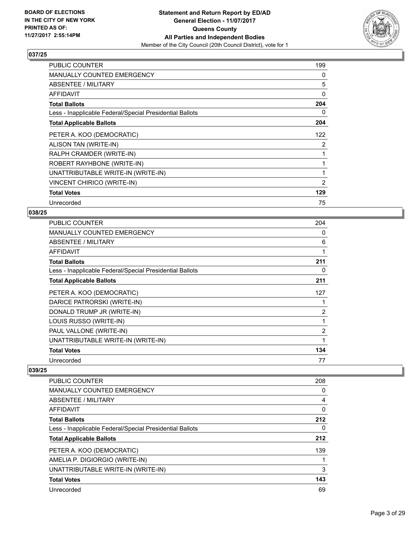

| <b>PUBLIC COUNTER</b>                                    | 199 |
|----------------------------------------------------------|-----|
| <b>MANUALLY COUNTED EMERGENCY</b>                        | 0   |
| <b>ABSENTEE / MILITARY</b>                               | 5   |
| <b>AFFIDAVIT</b>                                         | 0   |
| <b>Total Ballots</b>                                     | 204 |
| Less - Inapplicable Federal/Special Presidential Ballots | 0   |
| <b>Total Applicable Ballots</b>                          | 204 |
| PETER A. KOO (DEMOCRATIC)                                | 122 |
| ALISON TAN (WRITE-IN)                                    | 2   |
| RALPH CRAMDER (WRITE-IN)                                 | 1   |
| ROBERT RAYHBONE (WRITE-IN)                               | 1   |
| UNATTRIBUTABLE WRITE-IN (WRITE-IN)                       | 1   |
| VINCENT CHIRICO (WRITE-IN)                               | 2   |
| <b>Total Votes</b>                                       | 129 |
| Unrecorded                                               | 75  |

## **038/25**

| PUBLIC COUNTER                                           | 204 |
|----------------------------------------------------------|-----|
| <b>MANUALLY COUNTED EMERGENCY</b>                        | 0   |
| ABSENTEE / MILITARY                                      | 6   |
| <b>AFFIDAVIT</b>                                         | 1   |
| <b>Total Ballots</b>                                     | 211 |
| Less - Inapplicable Federal/Special Presidential Ballots | 0   |
| <b>Total Applicable Ballots</b>                          | 211 |
| PETER A. KOO (DEMOCRATIC)                                | 127 |
| DARICE PATRORSKI (WRITE-IN)                              | 1   |
| DONALD TRUMP JR (WRITE-IN)                               | 2   |
| LOUIS RUSSO (WRITE-IN)                                   | 1   |
| PAUL VALLONE (WRITE-IN)                                  | 2   |
| UNATTRIBUTABLE WRITE-IN (WRITE-IN)                       | 1   |
| <b>Total Votes</b>                                       | 134 |
| Unrecorded                                               | 77  |

| PUBLIC COUNTER                                           | 208 |
|----------------------------------------------------------|-----|
| <b>MANUALLY COUNTED EMERGENCY</b>                        | 0   |
| ABSENTEE / MILITARY                                      | 4   |
| AFFIDAVIT                                                | 0   |
| <b>Total Ballots</b>                                     | 212 |
| Less - Inapplicable Federal/Special Presidential Ballots | 0   |
| <b>Total Applicable Ballots</b>                          | 212 |
| PETER A. KOO (DEMOCRATIC)                                | 139 |
| AMELIA P. DIGIORGIO (WRITE-IN)                           |     |
| UNATTRIBUTABLE WRITE-IN (WRITE-IN)                       | 3   |
| <b>Total Votes</b>                                       | 143 |
| Unrecorded                                               | 69  |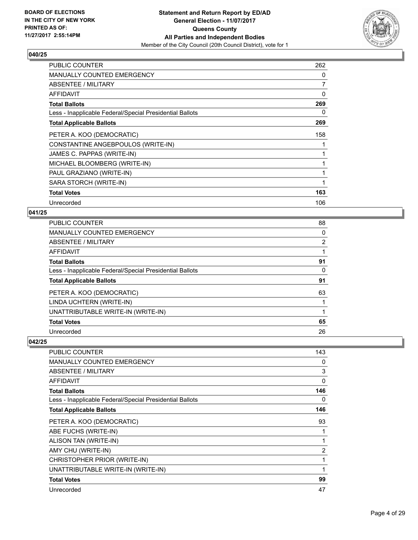

| <b>PUBLIC COUNTER</b>                                    | 262            |
|----------------------------------------------------------|----------------|
| <b>MANUALLY COUNTED EMERGENCY</b>                        | 0              |
| <b>ABSENTEE / MILITARY</b>                               | $\overline{7}$ |
| <b>AFFIDAVIT</b>                                         | 0              |
| <b>Total Ballots</b>                                     | 269            |
| Less - Inapplicable Federal/Special Presidential Ballots | 0              |
| <b>Total Applicable Ballots</b>                          | 269            |
| PETER A. KOO (DEMOCRATIC)                                | 158            |
| CONSTANTINE ANGEBPOULOS (WRITE-IN)                       |                |
| JAMES C. PAPPAS (WRITE-IN)                               |                |
| MICHAEL BLOOMBERG (WRITE-IN)                             |                |
| PAUL GRAZIANO (WRITE-IN)                                 |                |
| SARA STORCH (WRITE-IN)                                   |                |
| <b>Total Votes</b>                                       | 163            |
| Unrecorded                                               | 106            |

## **041/25**

| <b>PUBLIC COUNTER</b>                                    | 88 |
|----------------------------------------------------------|----|
| <b>MANUALLY COUNTED EMERGENCY</b>                        | 0  |
| <b>ABSENTEE / MILITARY</b>                               | 2  |
| <b>AFFIDAVIT</b>                                         |    |
| <b>Total Ballots</b>                                     | 91 |
| Less - Inapplicable Federal/Special Presidential Ballots | 0  |
| <b>Total Applicable Ballots</b>                          | 91 |
| PETER A. KOO (DEMOCRATIC)                                | 63 |
| LINDA UCHTERN (WRITE-IN)                                 |    |
| UNATTRIBUTABLE WRITE-IN (WRITE-IN)                       |    |
| <b>Total Votes</b>                                       | 65 |
| Unrecorded                                               | 26 |

| <b>PUBLIC COUNTER</b>                                    | 143            |
|----------------------------------------------------------|----------------|
| <b>MANUALLY COUNTED EMERGENCY</b>                        | 0              |
| ABSENTEE / MILITARY                                      | 3              |
| AFFIDAVIT                                                | 0              |
| <b>Total Ballots</b>                                     | 146            |
| Less - Inapplicable Federal/Special Presidential Ballots | 0              |
| <b>Total Applicable Ballots</b>                          | 146            |
| PETER A. KOO (DEMOCRATIC)                                | 93             |
| ABE FUCHS (WRITE-IN)                                     |                |
| ALISON TAN (WRITE-IN)                                    |                |
| AMY CHU (WRITE-IN)                                       | $\overline{2}$ |
| CHRISTOPHER PRIOR (WRITE-IN)                             | 1              |
| UNATTRIBUTABLE WRITE-IN (WRITE-IN)                       | 1              |
| <b>Total Votes</b>                                       | 99             |
| Unrecorded                                               | 47             |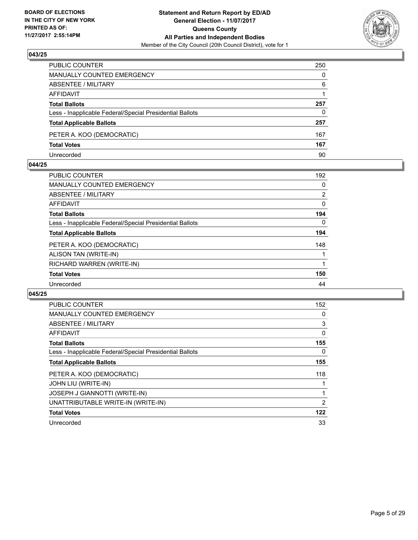

| PUBLIC COUNTER                                           | 250 |
|----------------------------------------------------------|-----|
| <b>MANUALLY COUNTED EMERGENCY</b>                        | 0   |
| ABSENTEE / MILITARY                                      | 6   |
| AFFIDAVIT                                                |     |
| <b>Total Ballots</b>                                     | 257 |
| Less - Inapplicable Federal/Special Presidential Ballots | 0   |
| <b>Total Applicable Ballots</b>                          | 257 |
| PETER A. KOO (DEMOCRATIC)                                | 167 |
| <b>Total Votes</b>                                       | 167 |
| Unrecorded                                               | 90  |

#### **044/25**

| <b>PUBLIC COUNTER</b>                                    | 192            |
|----------------------------------------------------------|----------------|
| <b>MANUALLY COUNTED EMERGENCY</b>                        | 0              |
| ABSENTEE / MILITARY                                      | $\overline{2}$ |
| AFFIDAVIT                                                | 0              |
| <b>Total Ballots</b>                                     | 194            |
| Less - Inapplicable Federal/Special Presidential Ballots | 0              |
| <b>Total Applicable Ballots</b>                          | 194            |
| PETER A. KOO (DEMOCRATIC)                                | 148            |
| ALISON TAN (WRITE-IN)                                    |                |
| RICHARD WARREN (WRITE-IN)                                |                |
| <b>Total Votes</b>                                       | 150            |
| Unrecorded                                               | 44             |
|                                                          |                |

| PUBLIC COUNTER                                           | 152            |
|----------------------------------------------------------|----------------|
| <b>MANUALLY COUNTED EMERGENCY</b>                        | 0              |
| ABSENTEE / MILITARY                                      | 3              |
| AFFIDAVIT                                                | 0              |
| <b>Total Ballots</b>                                     | 155            |
| Less - Inapplicable Federal/Special Presidential Ballots | 0              |
| <b>Total Applicable Ballots</b>                          | 155            |
| PETER A. KOO (DEMOCRATIC)                                | 118            |
| JOHN LIU (WRITE-IN)                                      |                |
| JOSEPH J GIANNOTTI (WRITE-IN)                            |                |
| UNATTRIBUTABLE WRITE-IN (WRITE-IN)                       | $\overline{2}$ |
| <b>Total Votes</b>                                       | 122            |
| Unrecorded                                               | 33             |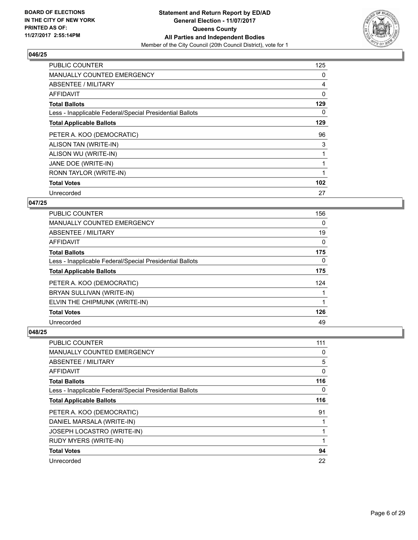

| <b>PUBLIC COUNTER</b>                                    | 125 |
|----------------------------------------------------------|-----|
| <b>MANUALLY COUNTED EMERGENCY</b>                        | 0   |
| ABSENTEE / MILITARY                                      | 4   |
| AFFIDAVIT                                                | 0   |
| <b>Total Ballots</b>                                     | 129 |
| Less - Inapplicable Federal/Special Presidential Ballots | 0   |
| <b>Total Applicable Ballots</b>                          | 129 |
| PETER A. KOO (DEMOCRATIC)                                | 96  |
| ALISON TAN (WRITE-IN)                                    | 3   |
| ALISON WU (WRITE-IN)                                     |     |
| JANE DOE (WRITE-IN)                                      | 1   |
| RONN TAYLOR (WRITE-IN)                                   |     |
| <b>Total Votes</b>                                       | 102 |
| Unrecorded                                               | 27  |

## **047/25**

| <b>PUBLIC COUNTER</b>                                    | 156      |
|----------------------------------------------------------|----------|
| MANUALLY COUNTED EMERGENCY                               | 0        |
| ABSENTEE / MILITARY                                      | 19       |
| AFFIDAVIT                                                | 0        |
| <b>Total Ballots</b>                                     | 175      |
| Less - Inapplicable Federal/Special Presidential Ballots | $\Omega$ |
| <b>Total Applicable Ballots</b>                          | 175      |
| PETER A. KOO (DEMOCRATIC)                                | 124      |
| BRYAN SULLIVAN (WRITE-IN)                                |          |
| ELVIN THE CHIPMUNK (WRITE-IN)                            |          |
| <b>Total Votes</b>                                       | 126      |
| Unrecorded                                               | 49       |

| <b>PUBLIC COUNTER</b>                                    | 111 |
|----------------------------------------------------------|-----|
| <b>MANUALLY COUNTED EMERGENCY</b>                        | 0   |
| ABSENTEE / MILITARY                                      | 5   |
| AFFIDAVIT                                                | 0   |
| <b>Total Ballots</b>                                     | 116 |
| Less - Inapplicable Federal/Special Presidential Ballots | 0   |
| <b>Total Applicable Ballots</b>                          | 116 |
| PETER A. KOO (DEMOCRATIC)                                | 91  |
| DANIEL MARSALA (WRITE-IN)                                |     |
| JOSEPH LOCASTRO (WRITE-IN)                               |     |
| <b>RUDY MYERS (WRITE-IN)</b>                             | 1   |
| <b>Total Votes</b>                                       | 94  |
| Unrecorded                                               | 22  |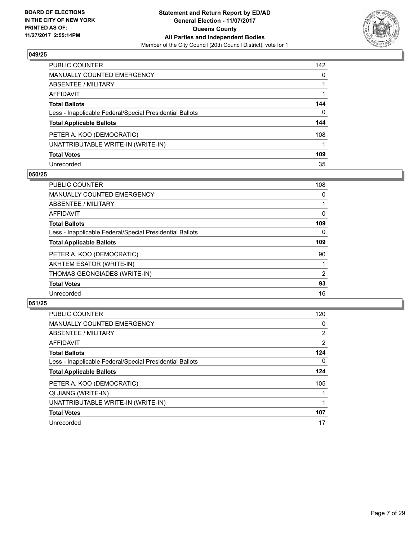

| <b>PUBLIC COUNTER</b>                                    | 142 |
|----------------------------------------------------------|-----|
| <b>MANUALLY COUNTED EMERGENCY</b>                        | 0   |
| <b>ABSENTEE / MILITARY</b>                               |     |
| <b>AFFIDAVIT</b>                                         |     |
| <b>Total Ballots</b>                                     | 144 |
| Less - Inapplicable Federal/Special Presidential Ballots | 0   |
| <b>Total Applicable Ballots</b>                          | 144 |
| PETER A. KOO (DEMOCRATIC)                                | 108 |
| UNATTRIBUTABLE WRITE-IN (WRITE-IN)                       |     |
| <b>Total Votes</b>                                       | 109 |
| Unrecorded                                               | 35  |

#### **050/25**

| <b>PUBLIC COUNTER</b>                                    | 108 |
|----------------------------------------------------------|-----|
| <b>MANUALLY COUNTED EMERGENCY</b>                        | 0   |
| ABSENTEE / MILITARY                                      |     |
| <b>AFFIDAVIT</b>                                         | 0   |
| <b>Total Ballots</b>                                     | 109 |
| Less - Inapplicable Federal/Special Presidential Ballots | 0   |
| <b>Total Applicable Ballots</b>                          | 109 |
| PETER A. KOO (DEMOCRATIC)                                | 90  |
| AKHTEM ESATOR (WRITE-IN)                                 |     |
| THOMAS GEONGIADES (WRITE-IN)                             | 2   |
| <b>Total Votes</b>                                       | 93  |
| Unrecorded                                               | 16  |

| <b>PUBLIC COUNTER</b>                                    | 120            |
|----------------------------------------------------------|----------------|
| <b>MANUALLY COUNTED EMERGENCY</b>                        | 0              |
| ABSENTEE / MILITARY                                      | $\overline{2}$ |
| AFFIDAVIT                                                | $\overline{2}$ |
| <b>Total Ballots</b>                                     | 124            |
| Less - Inapplicable Federal/Special Presidential Ballots | $\Omega$       |
| <b>Total Applicable Ballots</b>                          | 124            |
| PETER A. KOO (DEMOCRATIC)                                | 105            |
| QI JIANG (WRITE-IN)                                      |                |
| UNATTRIBUTABLE WRITE-IN (WRITE-IN)                       |                |
| <b>Total Votes</b>                                       | 107            |
| Unrecorded                                               | 17             |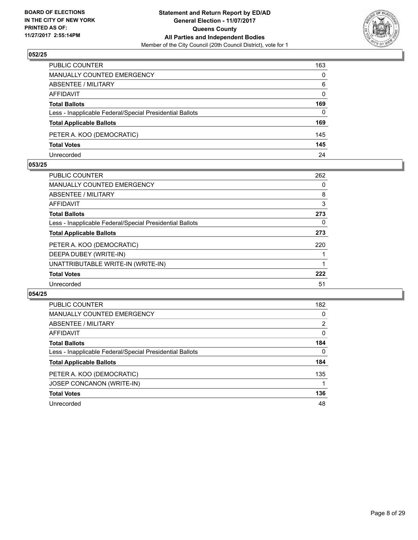

| PUBLIC COUNTER                                           | 163      |
|----------------------------------------------------------|----------|
| <b>MANUALLY COUNTED EMERGENCY</b>                        | $\Omega$ |
| ABSENTEE / MILITARY                                      | 6        |
| AFFIDAVIT                                                | $\Omega$ |
| <b>Total Ballots</b>                                     | 169      |
| Less - Inapplicable Federal/Special Presidential Ballots | $\Omega$ |
| <b>Total Applicable Ballots</b>                          | 169      |
| PETER A. KOO (DEMOCRATIC)                                | 145      |
| <b>Total Votes</b>                                       | 145      |
| Unrecorded                                               | 24       |

#### **053/25**

| PUBLIC COUNTER                                           | 262 |
|----------------------------------------------------------|-----|
| MANUALLY COUNTED EMERGENCY                               | 0   |
| ABSENTEE / MILITARY                                      | 8   |
| AFFIDAVIT                                                | 3   |
| <b>Total Ballots</b>                                     | 273 |
| Less - Inapplicable Federal/Special Presidential Ballots | 0   |
| <b>Total Applicable Ballots</b>                          | 273 |
| PETER A. KOO (DEMOCRATIC)                                | 220 |
| DEEPA DUBEY (WRITE-IN)                                   |     |
| UNATTRIBUTABLE WRITE-IN (WRITE-IN)                       |     |
| <b>Total Votes</b>                                       | 222 |
| Unrecorded                                               | 51  |

| PUBLIC COUNTER                                           | 182 |
|----------------------------------------------------------|-----|
| MANUALLY COUNTED EMERGENCY                               | 0   |
| ABSENTEE / MILITARY                                      | 2   |
| AFFIDAVIT                                                | 0   |
| <b>Total Ballots</b>                                     | 184 |
| Less - Inapplicable Federal/Special Presidential Ballots | 0   |
| <b>Total Applicable Ballots</b>                          | 184 |
| PETER A. KOO (DEMOCRATIC)                                | 135 |
| JOSEP CONCANON (WRITE-IN)                                |     |
| <b>Total Votes</b>                                       | 136 |
| Unrecorded                                               | 48  |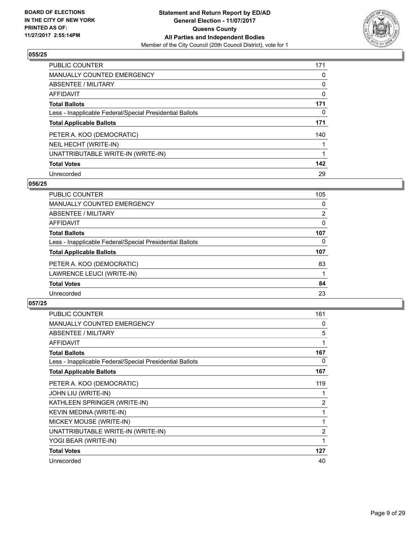

| <b>PUBLIC COUNTER</b>                                    | 171 |
|----------------------------------------------------------|-----|
| <b>MANUALLY COUNTED EMERGENCY</b>                        | 0   |
| ABSENTEE / MILITARY                                      | 0   |
| AFFIDAVIT                                                | 0   |
| <b>Total Ballots</b>                                     | 171 |
| Less - Inapplicable Federal/Special Presidential Ballots | 0   |
| <b>Total Applicable Ballots</b>                          | 171 |
| PETER A. KOO (DEMOCRATIC)                                | 140 |
| NEIL HECHT (WRITE-IN)                                    |     |
| UNATTRIBUTABLE WRITE-IN (WRITE-IN)                       |     |
| <b>Total Votes</b>                                       | 142 |
| Unrecorded                                               | 29  |

#### **056/25**

| <b>PUBLIC COUNTER</b>                                    | 105            |
|----------------------------------------------------------|----------------|
| <b>MANUALLY COUNTED EMERGENCY</b>                        | 0              |
| ABSENTEE / MILITARY                                      | $\overline{2}$ |
| <b>AFFIDAVIT</b>                                         | 0              |
| <b>Total Ballots</b>                                     | 107            |
| Less - Inapplicable Federal/Special Presidential Ballots | 0              |
| <b>Total Applicable Ballots</b>                          | 107            |
| PETER A. KOO (DEMOCRATIC)                                | 83             |
| LAWRENCE LEUCI (WRITE-IN)                                |                |
| <b>Total Votes</b>                                       | 84             |
| Unrecorded                                               | 23             |

| <b>PUBLIC COUNTER</b>                                    | 161            |
|----------------------------------------------------------|----------------|
| <b>MANUALLY COUNTED EMERGENCY</b>                        | 0              |
| ABSENTEE / MILITARY                                      | 5              |
| <b>AFFIDAVIT</b>                                         | 1              |
| <b>Total Ballots</b>                                     | 167            |
| Less - Inapplicable Federal/Special Presidential Ballots | 0              |
| <b>Total Applicable Ballots</b>                          | 167            |
| PETER A. KOO (DEMOCRATIC)                                | 119            |
| JOHN LIU (WRITE-IN)                                      |                |
| KATHLEEN SPRINGER (WRITE-IN)                             | $\overline{2}$ |
| KEVIN MEDINA (WRITE-IN)                                  | 1              |
| MICKEY MOUSE (WRITE-IN)                                  | 1              |
| UNATTRIBUTABLE WRITE-IN (WRITE-IN)                       | $\overline{2}$ |
| YOGI BEAR (WRITE-IN)                                     | 1              |
| <b>Total Votes</b>                                       | 127            |
| Unrecorded                                               | 40             |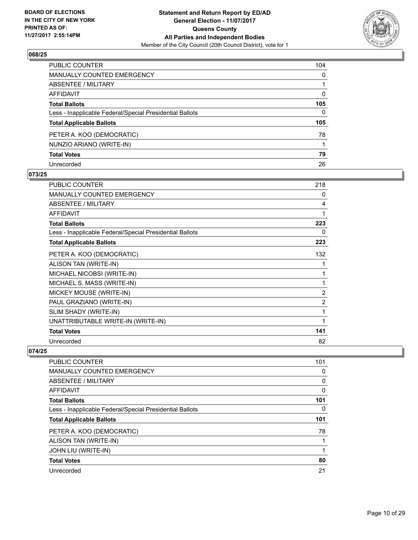

| <b>PUBLIC COUNTER</b>                                    | 104          |
|----------------------------------------------------------|--------------|
| <b>MANUALLY COUNTED EMERGENCY</b>                        | $\mathbf{0}$ |
| <b>ABSENTEE / MILITARY</b>                               |              |
| <b>AFFIDAVIT</b>                                         | 0            |
| <b>Total Ballots</b>                                     | 105          |
| Less - Inapplicable Federal/Special Presidential Ballots | $\mathbf{0}$ |
| <b>Total Applicable Ballots</b>                          | 105          |
| PETER A. KOO (DEMOCRATIC)                                | 78           |
| NUNZIO ARIANO (WRITE-IN)                                 |              |
| <b>Total Votes</b>                                       | 79           |
| Unrecorded                                               | 26           |

#### **073/25**

| <b>PUBLIC COUNTER</b>                                    | 218            |
|----------------------------------------------------------|----------------|
| <b>MANUALLY COUNTED EMERGENCY</b>                        | 0              |
| <b>ABSENTEE / MILITARY</b>                               | 4              |
| <b>AFFIDAVIT</b>                                         | 1              |
| <b>Total Ballots</b>                                     | 223            |
| Less - Inapplicable Federal/Special Presidential Ballots | 0              |
| <b>Total Applicable Ballots</b>                          | 223            |
| PETER A. KOO (DEMOCRATIC)                                | 132            |
| ALISON TAN (WRITE-IN)                                    | 1              |
| MICHAEL NICOBSI (WRITE-IN)                               | 1              |
| MICHAEL S. MASS (WRITE-IN)                               | 1              |
| MICKEY MOUSE (WRITE-IN)                                  | 2              |
| PAUL GRAZIANO (WRITE-IN)                                 | $\overline{2}$ |
| SLIM SHADY (WRITE-IN)                                    | 1              |
| UNATTRIBUTABLE WRITE-IN (WRITE-IN)                       | 1              |
| <b>Total Votes</b>                                       | 141            |
| Unrecorded                                               | 82             |

| 101 |
|-----|
| 0   |
| 0   |
| 0   |
| 101 |
| 0   |
| 101 |
| 78  |
|     |
|     |
| 80  |
| 21  |
|     |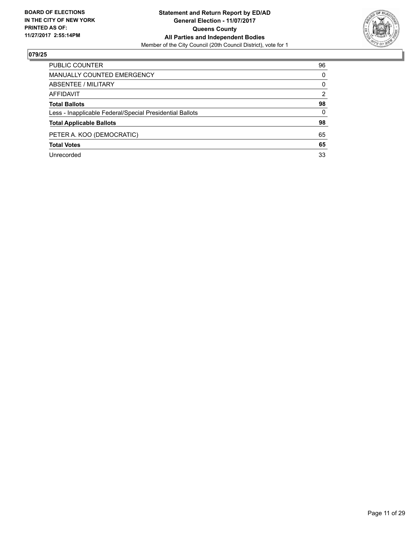

| PUBLIC COUNTER                                           | 96 |
|----------------------------------------------------------|----|
| <b>MANUALLY COUNTED EMERGENCY</b>                        | 0  |
| <b>ABSENTEE / MILITARY</b>                               | 0  |
| AFFIDAVIT                                                | 2  |
| <b>Total Ballots</b>                                     | 98 |
| Less - Inapplicable Federal/Special Presidential Ballots | 0  |
| <b>Total Applicable Ballots</b>                          | 98 |
| PETER A. KOO (DEMOCRATIC)                                | 65 |
| <b>Total Votes</b>                                       | 65 |
| Unrecorded                                               | 33 |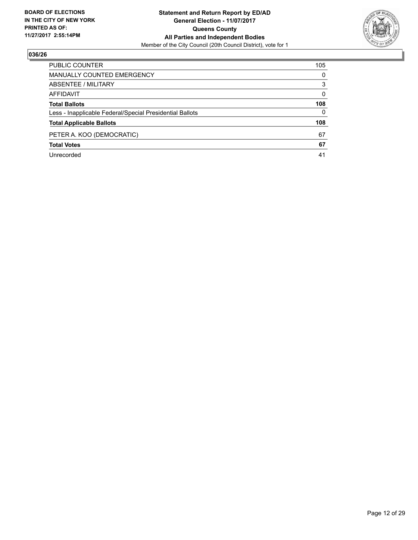

| PUBLIC COUNTER                                           | 105 |
|----------------------------------------------------------|-----|
| <b>MANUALLY COUNTED EMERGENCY</b>                        | 0   |
| <b>ABSENTEE / MILITARY</b>                               | 3   |
| AFFIDAVIT                                                | 0   |
| <b>Total Ballots</b>                                     | 108 |
| Less - Inapplicable Federal/Special Presidential Ballots | 0   |
| <b>Total Applicable Ballots</b>                          | 108 |
| PETER A. KOO (DEMOCRATIC)                                | 67  |
| <b>Total Votes</b>                                       | 67  |
| Unrecorded                                               | 41  |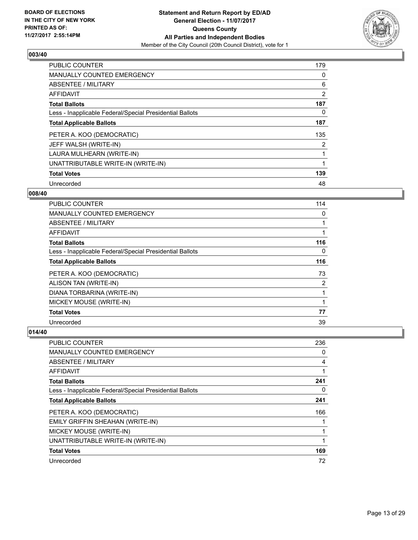

| <b>PUBLIC COUNTER</b>                                    | 179 |
|----------------------------------------------------------|-----|
| <b>MANUALLY COUNTED EMERGENCY</b>                        | 0   |
| ABSENTEE / MILITARY                                      | 6   |
| AFFIDAVIT                                                | 2   |
| <b>Total Ballots</b>                                     | 187 |
| Less - Inapplicable Federal/Special Presidential Ballots | 0   |
| <b>Total Applicable Ballots</b>                          | 187 |
| PETER A. KOO (DEMOCRATIC)                                | 135 |
| JEFF WALSH (WRITE-IN)                                    | 2   |
| LAURA MULHEARN (WRITE-IN)                                |     |
| UNATTRIBUTABLE WRITE-IN (WRITE-IN)                       |     |
| <b>Total Votes</b>                                       | 139 |
| Unrecorded                                               | 48  |

#### **008/40**

| <b>PUBLIC COUNTER</b>                                    | 114 |
|----------------------------------------------------------|-----|
| <b>MANUALLY COUNTED EMERGENCY</b>                        | 0   |
| ABSENTEE / MILITARY                                      |     |
| <b>AFFIDAVIT</b>                                         |     |
| <b>Total Ballots</b>                                     | 116 |
| Less - Inapplicable Federal/Special Presidential Ballots | 0   |
| <b>Total Applicable Ballots</b>                          | 116 |
| PETER A. KOO (DEMOCRATIC)                                | 73  |
| ALISON TAN (WRITE-IN)                                    | 2   |
| DIANA TORBARINA (WRITE-IN)                               |     |
| MICKEY MOUSE (WRITE-IN)                                  |     |
| <b>Total Votes</b>                                       | 77  |
| Unrecorded                                               | 39  |

| <b>PUBLIC COUNTER</b>                                    | 236 |
|----------------------------------------------------------|-----|
| <b>MANUALLY COUNTED EMERGENCY</b>                        | 0   |
| ABSENTEE / MILITARY                                      | 4   |
| AFFIDAVIT                                                |     |
| <b>Total Ballots</b>                                     | 241 |
| Less - Inapplicable Federal/Special Presidential Ballots | 0   |
| <b>Total Applicable Ballots</b>                          | 241 |
| PETER A. KOO (DEMOCRATIC)                                | 166 |
| EMILY GRIFFIN SHEAHAN (WRITE-IN)                         |     |
| MICKEY MOUSE (WRITE-IN)                                  |     |
| UNATTRIBUTABLE WRITE-IN (WRITE-IN)                       |     |
| <b>Total Votes</b>                                       | 169 |
| Unrecorded                                               | 72  |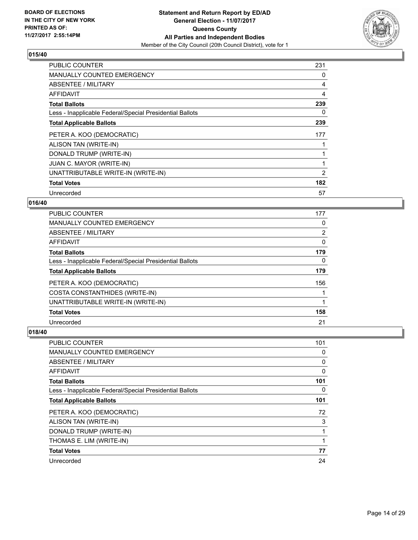

| <b>PUBLIC COUNTER</b>                                    | 231 |
|----------------------------------------------------------|-----|
| <b>MANUALLY COUNTED EMERGENCY</b>                        | 0   |
| <b>ABSENTEE / MILITARY</b>                               | 4   |
| <b>AFFIDAVIT</b>                                         | 4   |
| <b>Total Ballots</b>                                     | 239 |
| Less - Inapplicable Federal/Special Presidential Ballots | 0   |
| <b>Total Applicable Ballots</b>                          | 239 |
| PETER A. KOO (DEMOCRATIC)                                | 177 |
| ALISON TAN (WRITE-IN)                                    |     |
| DONALD TRUMP (WRITE-IN)                                  |     |
| JUAN C. MAYOR (WRITE-IN)                                 |     |
| UNATTRIBUTABLE WRITE-IN (WRITE-IN)                       | 2   |
| <b>Total Votes</b>                                       | 182 |
| Unrecorded                                               | 57  |

## **016/40**

| <b>PUBLIC COUNTER</b>                                    | 177            |
|----------------------------------------------------------|----------------|
| <b>MANUALLY COUNTED EMERGENCY</b>                        | 0              |
| ABSENTEE / MILITARY                                      | $\overline{2}$ |
| AFFIDAVIT                                                | 0              |
| <b>Total Ballots</b>                                     | 179            |
| Less - Inapplicable Federal/Special Presidential Ballots | 0              |
| <b>Total Applicable Ballots</b>                          | 179            |
| PETER A. KOO (DEMOCRATIC)                                | 156            |
| COSTA CONSTANTHIDES (WRITE-IN)                           |                |
| UNATTRIBUTABLE WRITE-IN (WRITE-IN)                       |                |
| <b>Total Votes</b>                                       | 158            |
| Unrecorded                                               | 21             |

| <b>PUBLIC COUNTER</b>                                    | 101 |
|----------------------------------------------------------|-----|
| MANUALLY COUNTED EMERGENCY                               | 0   |
| ABSENTEE / MILITARY                                      | 0   |
| AFFIDAVIT                                                | 0   |
| <b>Total Ballots</b>                                     | 101 |
| Less - Inapplicable Federal/Special Presidential Ballots | 0   |
| <b>Total Applicable Ballots</b>                          | 101 |
| PETER A. KOO (DEMOCRATIC)                                | 72  |
| ALISON TAN (WRITE-IN)                                    | 3   |
| DONALD TRUMP (WRITE-IN)                                  |     |
| THOMAS E. LIM (WRITE-IN)                                 | 1   |
| <b>Total Votes</b>                                       | 77  |
| Unrecorded                                               | 24  |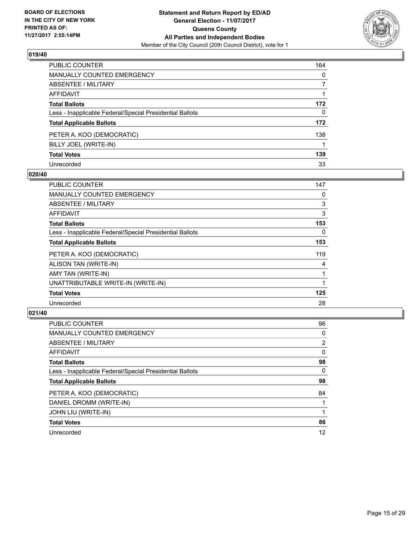

| <b>PUBLIC COUNTER</b>                                    | 164          |
|----------------------------------------------------------|--------------|
| <b>MANUALLY COUNTED EMERGENCY</b>                        | $\Omega$     |
| <b>ABSENTEE / MILITARY</b>                               | 7            |
| <b>AFFIDAVIT</b>                                         |              |
| <b>Total Ballots</b>                                     | 172          |
| Less - Inapplicable Federal/Special Presidential Ballots | $\mathbf{0}$ |
| <b>Total Applicable Ballots</b>                          | 172          |
| PETER A. KOO (DEMOCRATIC)                                | 138          |
| BILLY JOEL (WRITE-IN)                                    |              |
| <b>Total Votes</b>                                       | 139          |
| Unrecorded                                               | 33           |

#### **020/40**

| <b>PUBLIC COUNTER</b>                                    | 147 |
|----------------------------------------------------------|-----|
| <b>MANUALLY COUNTED EMERGENCY</b>                        | 0   |
| <b>ABSENTEE / MILITARY</b>                               | 3   |
| AFFIDAVIT                                                | 3   |
| <b>Total Ballots</b>                                     | 153 |
| Less - Inapplicable Federal/Special Presidential Ballots | 0   |
| <b>Total Applicable Ballots</b>                          | 153 |
| PETER A. KOO (DEMOCRATIC)                                | 119 |
| ALISON TAN (WRITE-IN)                                    | 4   |
| AMY TAN (WRITE-IN)                                       |     |
| UNATTRIBUTABLE WRITE-IN (WRITE-IN)                       |     |
| <b>Total Votes</b>                                       | 125 |
| Unrecorded                                               | 28  |

| <b>PUBLIC COUNTER</b>                                    | 96             |
|----------------------------------------------------------|----------------|
| MANUALLY COUNTED EMERGENCY                               | 0              |
| ABSENTEE / MILITARY                                      | $\overline{2}$ |
| <b>AFFIDAVIT</b>                                         | 0              |
| <b>Total Ballots</b>                                     | 98             |
| Less - Inapplicable Federal/Special Presidential Ballots | 0              |
| <b>Total Applicable Ballots</b>                          | 98             |
| PETER A. KOO (DEMOCRATIC)                                | 84             |
| DANIEL DROMM (WRITE-IN)                                  |                |
| JOHN LIU (WRITE-IN)                                      |                |
| <b>Total Votes</b>                                       | 86             |
| Unrecorded                                               | 12             |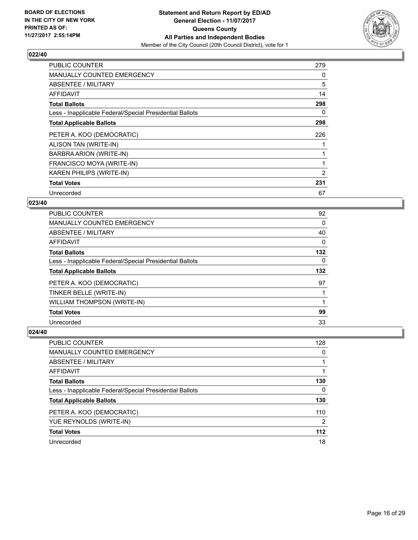

| <b>PUBLIC COUNTER</b>                                    | 279 |
|----------------------------------------------------------|-----|
| <b>MANUALLY COUNTED EMERGENCY</b>                        | 0   |
| ABSENTEE / MILITARY                                      | 5   |
| AFFIDAVIT                                                | 14  |
| <b>Total Ballots</b>                                     | 298 |
| Less - Inapplicable Federal/Special Presidential Ballots | 0   |
| <b>Total Applicable Ballots</b>                          | 298 |
| PETER A. KOO (DEMOCRATIC)                                | 226 |
| ALISON TAN (WRITE-IN)                                    |     |
| BARBRA ARION (WRITE-IN)                                  |     |
| FRANCISCO MOYA (WRITE-IN)                                | 1   |
| <b>KAREN PHILIPS (WRITE-IN)</b>                          | 2   |
| <b>Total Votes</b>                                       | 231 |
| Unrecorded                                               | 67  |

## **023/40**

| <b>PUBLIC COUNTER</b>                                    | 92       |
|----------------------------------------------------------|----------|
| <b>MANUALLY COUNTED EMERGENCY</b>                        | 0        |
| ABSENTEE / MILITARY                                      | 40       |
| <b>AFFIDAVIT</b>                                         | 0        |
| <b>Total Ballots</b>                                     | 132      |
| Less - Inapplicable Federal/Special Presidential Ballots | $\Omega$ |
| <b>Total Applicable Ballots</b>                          | 132      |
| PETER A. KOO (DEMOCRATIC)                                | 97       |
| TINKER BELLE (WRITE-IN)                                  |          |
| WILLIAM THOMPSON (WRITE-IN)                              |          |
| <b>Total Votes</b>                                       | 99       |
| Unrecorded                                               | 33       |

| PUBLIC COUNTER                                           | 128   |
|----------------------------------------------------------|-------|
| <b>MANUALLY COUNTED EMERGENCY</b>                        | 0     |
| ABSENTEE / MILITARY                                      |       |
| AFFIDAVIT                                                |       |
| <b>Total Ballots</b>                                     | 130   |
| Less - Inapplicable Federal/Special Presidential Ballots | 0     |
| <b>Total Applicable Ballots</b>                          | 130   |
| PETER A. KOO (DEMOCRATIC)                                | 110   |
| YUE REYNOLDS (WRITE-IN)                                  | 2     |
| <b>Total Votes</b>                                       | $112$ |
| Unrecorded                                               | 18    |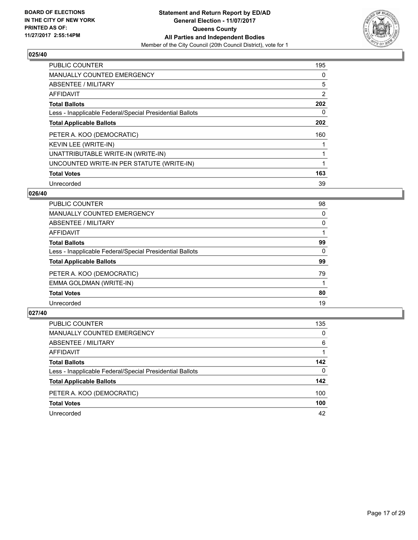

| PUBLIC COUNTER                                           | 195 |
|----------------------------------------------------------|-----|
| <b>MANUALLY COUNTED EMERGENCY</b>                        | 0   |
| ABSENTEE / MILITARY                                      | 5   |
| <b>AFFIDAVIT</b>                                         | 2   |
| <b>Total Ballots</b>                                     | 202 |
| Less - Inapplicable Federal/Special Presidential Ballots | 0   |
| <b>Total Applicable Ballots</b>                          | 202 |
| PETER A. KOO (DEMOCRATIC)                                | 160 |
| KEVIN LEE (WRITE-IN)                                     |     |
| UNATTRIBUTABLE WRITE-IN (WRITE-IN)                       | 1   |
| UNCOUNTED WRITE-IN PER STATUTE (WRITE-IN)                | 1   |
| <b>Total Votes</b>                                       | 163 |
| Unrecorded                                               | 39  |

## **026/40**

| <b>PUBLIC COUNTER</b>                                    | 98 |
|----------------------------------------------------------|----|
| <b>MANUALLY COUNTED EMERGENCY</b>                        | 0  |
| ABSENTEE / MILITARY                                      | 0  |
| AFFIDAVIT                                                |    |
| <b>Total Ballots</b>                                     | 99 |
| Less - Inapplicable Federal/Special Presidential Ballots | 0  |
| <b>Total Applicable Ballots</b>                          | 99 |
| PETER A. KOO (DEMOCRATIC)                                | 79 |
| EMMA GOLDMAN (WRITE-IN)                                  |    |
| <b>Total Votes</b>                                       | 80 |
| Unrecorded                                               | 19 |
|                                                          |    |

| <b>PUBLIC COUNTER</b>                                    | 135 |
|----------------------------------------------------------|-----|
| MANUALLY COUNTED EMERGENCY                               | 0   |
| ABSENTEE / MILITARY                                      | 6   |
| AFFIDAVIT                                                |     |
| <b>Total Ballots</b>                                     | 142 |
| Less - Inapplicable Federal/Special Presidential Ballots | 0   |
| <b>Total Applicable Ballots</b>                          | 142 |
| PETER A. KOO (DEMOCRATIC)                                | 100 |
| <b>Total Votes</b>                                       | 100 |
| Unrecorded                                               | 42  |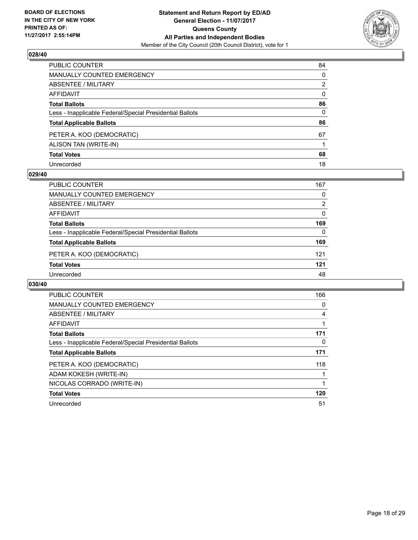

| PUBLIC COUNTER                                           | 84           |
|----------------------------------------------------------|--------------|
| <b>MANUALLY COUNTED EMERGENCY</b>                        | 0            |
| <b>ABSENTEE / MILITARY</b>                               | 2            |
| AFFIDAVIT                                                | $\mathbf{0}$ |
| <b>Total Ballots</b>                                     | 86           |
| Less - Inapplicable Federal/Special Presidential Ballots | $\mathbf{0}$ |
| <b>Total Applicable Ballots</b>                          | 86           |
| PETER A. KOO (DEMOCRATIC)                                | 67           |
| ALISON TAN (WRITE-IN)                                    |              |
| <b>Total Votes</b>                                       | 68           |
| Unrecorded                                               | 18           |

#### **029/40**

| <b>PUBLIC COUNTER</b>                                    | 167 |
|----------------------------------------------------------|-----|
| <b>MANUALLY COUNTED EMERGENCY</b>                        | 0   |
| ABSENTEE / MILITARY                                      | 2   |
| AFFIDAVIT                                                | 0   |
| <b>Total Ballots</b>                                     | 169 |
| Less - Inapplicable Federal/Special Presidential Ballots | 0   |
| <b>Total Applicable Ballots</b>                          | 169 |
| PETER A. KOO (DEMOCRATIC)                                | 121 |
| <b>Total Votes</b>                                       | 121 |
| Unrecorded                                               | 48  |

| <b>PUBLIC COUNTER</b>                                    | 166 |
|----------------------------------------------------------|-----|
| <b>MANUALLY COUNTED EMERGENCY</b>                        | 0   |
| ABSENTEE / MILITARY                                      | 4   |
| AFFIDAVIT                                                |     |
| <b>Total Ballots</b>                                     | 171 |
| Less - Inapplicable Federal/Special Presidential Ballots | 0   |
| <b>Total Applicable Ballots</b>                          | 171 |
| PETER A. KOO (DEMOCRATIC)                                | 118 |
| ADAM KOKESH (WRITE-IN)                                   |     |
| NICOLAS CORRADO (WRITE-IN)                               |     |
| <b>Total Votes</b>                                       | 120 |
| Unrecorded                                               | 51  |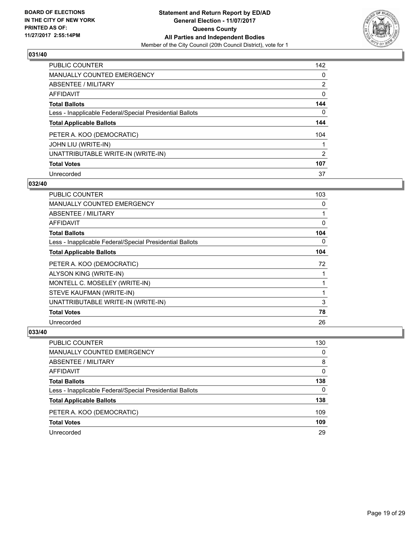

| <b>PUBLIC COUNTER</b>                                    | 142            |
|----------------------------------------------------------|----------------|
| <b>MANUALLY COUNTED EMERGENCY</b>                        | 0              |
| ABSENTEE / MILITARY                                      | $\overline{2}$ |
| AFFIDAVIT                                                | 0              |
| <b>Total Ballots</b>                                     | 144            |
| Less - Inapplicable Federal/Special Presidential Ballots | 0              |
| <b>Total Applicable Ballots</b>                          | 144            |
| PETER A. KOO (DEMOCRATIC)                                | 104            |
| JOHN LIU (WRITE-IN)                                      |                |
| UNATTRIBUTABLE WRITE-IN (WRITE-IN)                       | 2              |
| <b>Total Votes</b>                                       | 107            |
| Unrecorded                                               | 37             |

#### **032/40**

| <b>PUBLIC COUNTER</b>                                    | 103 |
|----------------------------------------------------------|-----|
| <b>MANUALLY COUNTED EMERGENCY</b>                        | 0   |
| ABSENTEE / MILITARY                                      | 1   |
| AFFIDAVIT                                                | 0   |
| <b>Total Ballots</b>                                     | 104 |
| Less - Inapplicable Federal/Special Presidential Ballots | 0   |
| <b>Total Applicable Ballots</b>                          | 104 |
| PETER A. KOO (DEMOCRATIC)                                | 72  |
| ALYSON KING (WRITE-IN)                                   |     |
| MONTELL C. MOSELEY (WRITE-IN)                            |     |
| STEVE KAUFMAN (WRITE-IN)                                 | 1   |
| UNATTRIBUTABLE WRITE-IN (WRITE-IN)                       | 3   |
| <b>Total Votes</b>                                       | 78  |
| Unrecorded                                               | 26  |

| PUBLIC COUNTER                                           | 130 |
|----------------------------------------------------------|-----|
| <b>MANUALLY COUNTED EMERGENCY</b>                        | 0   |
| ABSENTEE / MILITARY                                      | 8   |
| AFFIDAVIT                                                | 0   |
| <b>Total Ballots</b>                                     | 138 |
| Less - Inapplicable Federal/Special Presidential Ballots | 0   |
| <b>Total Applicable Ballots</b>                          | 138 |
| PETER A. KOO (DEMOCRATIC)                                | 109 |
| <b>Total Votes</b>                                       | 109 |
| Unrecorded                                               | 29  |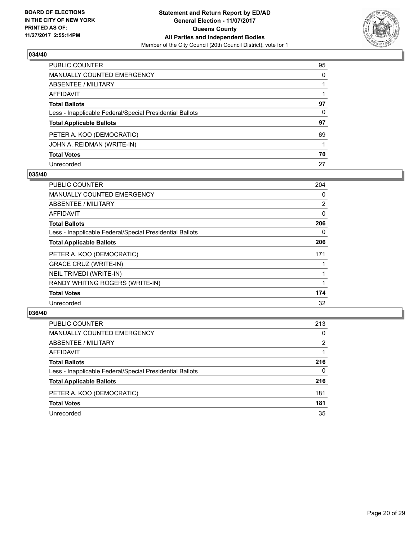

| PUBLIC COUNTER                                           | 95 |
|----------------------------------------------------------|----|
| <b>MANUALLY COUNTED EMERGENCY</b>                        | 0  |
| <b>ABSENTEE / MILITARY</b>                               |    |
| AFFIDAVIT                                                |    |
| <b>Total Ballots</b>                                     | 97 |
| Less - Inapplicable Federal/Special Presidential Ballots | 0  |
| <b>Total Applicable Ballots</b>                          | 97 |
| PETER A. KOO (DEMOCRATIC)                                | 69 |
| JOHN A. REIDMAN (WRITE-IN)                               |    |
| <b>Total Votes</b>                                       | 70 |
| Unrecorded                                               | 27 |

#### **035/40**

| <b>PUBLIC COUNTER</b>                                    | 204            |
|----------------------------------------------------------|----------------|
| <b>MANUALLY COUNTED EMERGENCY</b>                        | 0              |
| ABSENTEE / MILITARY                                      | $\overline{2}$ |
| <b>AFFIDAVIT</b>                                         | $\Omega$       |
| <b>Total Ballots</b>                                     | 206            |
| Less - Inapplicable Federal/Special Presidential Ballots | 0              |
| <b>Total Applicable Ballots</b>                          | 206            |
| PETER A. KOO (DEMOCRATIC)                                | 171            |
| <b>GRACE CRUZ (WRITE-IN)</b>                             |                |
| NEIL TRIVEDI (WRITE-IN)                                  |                |
| RANDY WHITING ROGERS (WRITE-IN)                          |                |
| <b>Total Votes</b>                                       | 174            |
| Unrecorded                                               | 32             |

| <b>PUBLIC COUNTER</b>                                    | 213 |
|----------------------------------------------------------|-----|
| MANUALLY COUNTED EMERGENCY                               | 0   |
| ABSENTEE / MILITARY                                      | 2   |
| AFFIDAVIT                                                |     |
| <b>Total Ballots</b>                                     | 216 |
| Less - Inapplicable Federal/Special Presidential Ballots | 0   |
| <b>Total Applicable Ballots</b>                          | 216 |
| PETER A. KOO (DEMOCRATIC)                                | 181 |
| <b>Total Votes</b>                                       | 181 |
| Unrecorded                                               | 35  |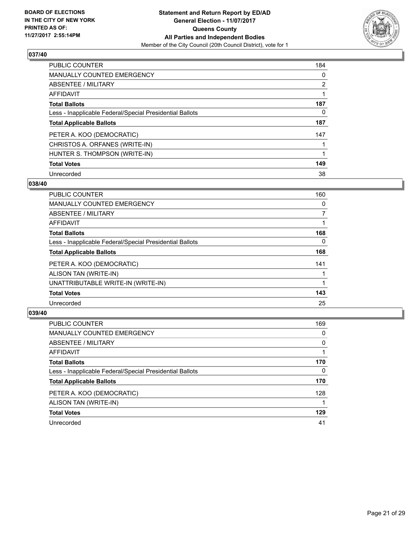

| <b>PUBLIC COUNTER</b>                                    | 184            |
|----------------------------------------------------------|----------------|
| <b>MANUALLY COUNTED EMERGENCY</b>                        | 0              |
| ABSENTEE / MILITARY                                      | $\overline{2}$ |
| AFFIDAVIT                                                |                |
| <b>Total Ballots</b>                                     | 187            |
| Less - Inapplicable Federal/Special Presidential Ballots | 0              |
| <b>Total Applicable Ballots</b>                          | 187            |
| PETER A. KOO (DEMOCRATIC)                                | 147            |
| CHRISTOS A. ORFANES (WRITE-IN)                           |                |
| HUNTER S. THOMPSON (WRITE-IN)                            |                |
| <b>Total Votes</b>                                       | 149            |
| Unrecorded                                               | 38             |

#### **038/40**

| <b>PUBLIC COUNTER</b>                                    | 160      |
|----------------------------------------------------------|----------|
| <b>MANUALLY COUNTED EMERGENCY</b>                        | 0        |
| ABSENTEE / MILITARY                                      | 7        |
| <b>AFFIDAVIT</b>                                         |          |
| <b>Total Ballots</b>                                     | 168      |
| Less - Inapplicable Federal/Special Presidential Ballots | $\Omega$ |
| <b>Total Applicable Ballots</b>                          | 168      |
| PETER A. KOO (DEMOCRATIC)                                | 141      |
| ALISON TAN (WRITE-IN)                                    |          |
| UNATTRIBUTABLE WRITE-IN (WRITE-IN)                       |          |
| <b>Total Votes</b>                                       | 143      |
| Unrecorded                                               | 25       |

| <b>PUBLIC COUNTER</b>                                    | 169 |
|----------------------------------------------------------|-----|
| <b>MANUALLY COUNTED EMERGENCY</b>                        | 0   |
| ABSENTEE / MILITARY                                      | 0   |
| AFFIDAVIT                                                |     |
| <b>Total Ballots</b>                                     | 170 |
| Less - Inapplicable Federal/Special Presidential Ballots | 0   |
| <b>Total Applicable Ballots</b>                          | 170 |
| PETER A. KOO (DEMOCRATIC)                                | 128 |
| ALISON TAN (WRITE-IN)                                    |     |
| <b>Total Votes</b>                                       | 129 |
| Unrecorded                                               | 41  |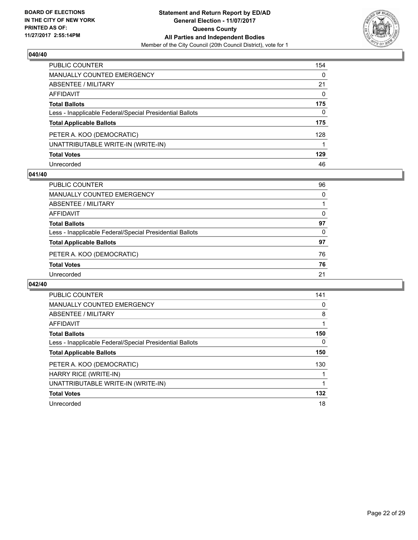

| PUBLIC COUNTER                                           | 154          |
|----------------------------------------------------------|--------------|
| MANUALLY COUNTED EMERGENCY                               | $\Omega$     |
| <b>ABSENTEE / MILITARY</b>                               | 21           |
| <b>AFFIDAVIT</b>                                         | 0            |
| <b>Total Ballots</b>                                     | 175          |
| Less - Inapplicable Federal/Special Presidential Ballots | $\mathbf{0}$ |
| <b>Total Applicable Ballots</b>                          | 175          |
| PETER A. KOO (DEMOCRATIC)                                | 128          |
| UNATTRIBUTABLE WRITE-IN (WRITE-IN)                       |              |
| <b>Total Votes</b>                                       | 129          |
| Unrecorded                                               | 46           |

#### **041/40**

| <b>PUBLIC COUNTER</b>                                    | 96 |
|----------------------------------------------------------|----|
| <b>MANUALLY COUNTED EMERGENCY</b>                        | 0  |
| ABSENTEE / MILITARY                                      |    |
| AFFIDAVIT                                                | 0  |
| <b>Total Ballots</b>                                     | 97 |
| Less - Inapplicable Federal/Special Presidential Ballots | 0  |
| <b>Total Applicable Ballots</b>                          | 97 |
| PETER A. KOO (DEMOCRATIC)                                | 76 |
| <b>Total Votes</b>                                       | 76 |
| Unrecorded                                               | 21 |
|                                                          |    |

| <b>PUBLIC COUNTER</b>                                    | 141 |
|----------------------------------------------------------|-----|
| <b>MANUALLY COUNTED EMERGENCY</b>                        | 0   |
| ABSENTEE / MILITARY                                      | 8   |
| AFFIDAVIT                                                |     |
| <b>Total Ballots</b>                                     | 150 |
| Less - Inapplicable Federal/Special Presidential Ballots | 0   |
| <b>Total Applicable Ballots</b>                          | 150 |
| PETER A. KOO (DEMOCRATIC)                                | 130 |
| HARRY RICE (WRITE-IN)                                    |     |
| UNATTRIBUTABLE WRITE-IN (WRITE-IN)                       |     |
| <b>Total Votes</b>                                       | 132 |
| Unrecorded                                               | 18  |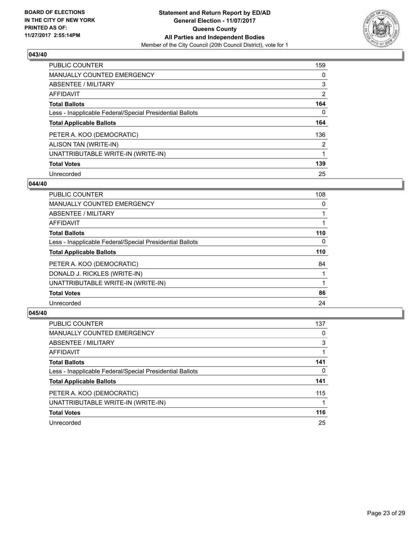

| <b>PUBLIC COUNTER</b>                                    | 159            |
|----------------------------------------------------------|----------------|
| <b>MANUALLY COUNTED EMERGENCY</b>                        | 0              |
| ABSENTEE / MILITARY                                      | 3              |
| AFFIDAVIT                                                | $\overline{2}$ |
| <b>Total Ballots</b>                                     | 164            |
| Less - Inapplicable Federal/Special Presidential Ballots | 0              |
| <b>Total Applicable Ballots</b>                          | 164            |
| PETER A. KOO (DEMOCRATIC)                                | 136            |
| ALISON TAN (WRITE-IN)                                    | $\overline{2}$ |
| UNATTRIBUTABLE WRITE-IN (WRITE-IN)                       |                |
| <b>Total Votes</b>                                       | 139            |
| Unrecorded                                               | 25             |

#### **044/40**

| PUBLIC COUNTER                                           | 108      |
|----------------------------------------------------------|----------|
| <b>MANUALLY COUNTED EMERGENCY</b>                        | 0        |
| ABSENTEE / MILITARY                                      |          |
| <b>AFFIDAVIT</b>                                         |          |
| <b>Total Ballots</b>                                     | 110      |
| Less - Inapplicable Federal/Special Presidential Ballots | $\Omega$ |
| <b>Total Applicable Ballots</b>                          | 110      |
| PETER A. KOO (DEMOCRATIC)                                | 84       |
| DONALD J. RICKLES (WRITE-IN)                             |          |
| UNATTRIBUTABLE WRITE-IN (WRITE-IN)                       |          |
| <b>Total Votes</b>                                       | 86       |
| Unrecorded                                               | 24       |

| <b>PUBLIC COUNTER</b>                                    | 137 |
|----------------------------------------------------------|-----|
| MANUALLY COUNTED EMERGENCY                               | 0   |
| ABSENTEE / MILITARY                                      | 3   |
| AFFIDAVIT                                                |     |
| <b>Total Ballots</b>                                     | 141 |
| Less - Inapplicable Federal/Special Presidential Ballots | 0   |
| <b>Total Applicable Ballots</b>                          | 141 |
| PETER A. KOO (DEMOCRATIC)                                | 115 |
| UNATTRIBUTABLE WRITE-IN (WRITE-IN)                       |     |
| <b>Total Votes</b>                                       | 116 |
| Unrecorded                                               | 25  |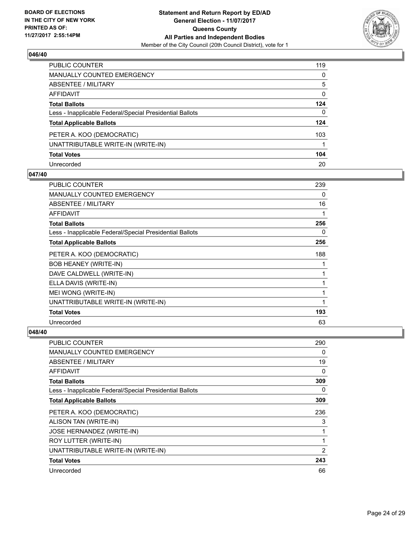

| <b>PUBLIC COUNTER</b>                                    | 119 |
|----------------------------------------------------------|-----|
| <b>MANUALLY COUNTED EMERGENCY</b>                        | 0   |
| <b>ABSENTEE / MILITARY</b>                               | 5   |
| <b>AFFIDAVIT</b>                                         | 0   |
| <b>Total Ballots</b>                                     | 124 |
| Less - Inapplicable Federal/Special Presidential Ballots | 0   |
| <b>Total Applicable Ballots</b>                          | 124 |
| PETER A. KOO (DEMOCRATIC)                                | 103 |
| UNATTRIBUTABLE WRITE-IN (WRITE-IN)                       |     |
| <b>Total Votes</b>                                       | 104 |
| Unrecorded                                               | 20  |

#### **047/40**

| <b>PUBLIC COUNTER</b>                                    | 239 |
|----------------------------------------------------------|-----|
| <b>MANUALLY COUNTED EMERGENCY</b>                        | 0   |
| ABSENTEE / MILITARY                                      | 16  |
| AFFIDAVIT                                                |     |
| <b>Total Ballots</b>                                     | 256 |
| Less - Inapplicable Federal/Special Presidential Ballots | 0   |
| <b>Total Applicable Ballots</b>                          | 256 |
| PETER A. KOO (DEMOCRATIC)                                | 188 |
| <b>BOB HEANEY (WRITE-IN)</b>                             |     |
| DAVE CALDWELL (WRITE-IN)                                 |     |
| ELLA DAVIS (WRITE-IN)                                    |     |
| MEI WONG (WRITE-IN)                                      |     |
| UNATTRIBUTABLE WRITE-IN (WRITE-IN)                       | 1   |
| <b>Total Votes</b>                                       | 193 |
| Unrecorded                                               | 63  |

| <b>PUBLIC COUNTER</b>                                    | 290            |
|----------------------------------------------------------|----------------|
| <b>MANUALLY COUNTED EMERGENCY</b>                        | 0              |
| ABSENTEE / MILITARY                                      | 19             |
| <b>AFFIDAVIT</b>                                         | 0              |
| <b>Total Ballots</b>                                     | 309            |
| Less - Inapplicable Federal/Special Presidential Ballots | 0              |
| <b>Total Applicable Ballots</b>                          | 309            |
| PETER A. KOO (DEMOCRATIC)                                | 236            |
| ALISON TAN (WRITE-IN)                                    | 3              |
| JOSE HERNANDEZ (WRITE-IN)                                | 1              |
| ROY LUTTER (WRITE-IN)                                    | 1              |
| UNATTRIBUTABLE WRITE-IN (WRITE-IN)                       | $\overline{2}$ |
| <b>Total Votes</b>                                       | 243            |
| Unrecorded                                               | 66             |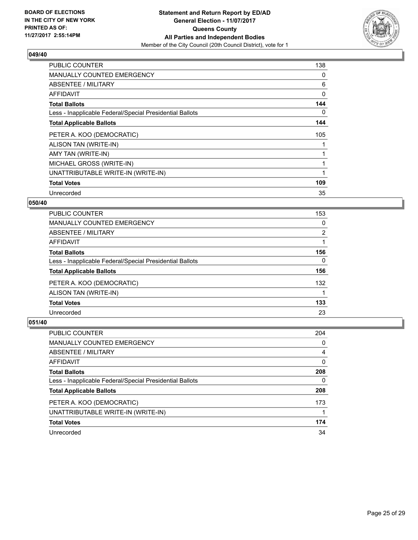

| <b>PUBLIC COUNTER</b>                                    | 138 |
|----------------------------------------------------------|-----|
| <b>MANUALLY COUNTED EMERGENCY</b>                        | 0   |
| <b>ABSENTEE / MILITARY</b>                               | 6   |
| AFFIDAVIT                                                | 0   |
| <b>Total Ballots</b>                                     | 144 |
| Less - Inapplicable Federal/Special Presidential Ballots | 0   |
| <b>Total Applicable Ballots</b>                          | 144 |
| PETER A. KOO (DEMOCRATIC)                                | 105 |
| ALISON TAN (WRITE-IN)                                    |     |
| AMY TAN (WRITE-IN)                                       |     |
| MICHAEL GROSS (WRITE-IN)                                 | 1   |
| UNATTRIBUTABLE WRITE-IN (WRITE-IN)                       |     |
| <b>Total Votes</b>                                       | 109 |
| Unrecorded                                               | 35  |

## **050/40**

| <b>PUBLIC COUNTER</b>                                    | 153            |
|----------------------------------------------------------|----------------|
| <b>MANUALLY COUNTED EMERGENCY</b>                        | 0              |
| ABSENTEE / MILITARY                                      | $\overline{2}$ |
| AFFIDAVIT                                                |                |
| <b>Total Ballots</b>                                     | 156            |
| Less - Inapplicable Federal/Special Presidential Ballots | 0              |
| <b>Total Applicable Ballots</b>                          | 156            |
| PETER A. KOO (DEMOCRATIC)                                | 132            |
| ALISON TAN (WRITE-IN)                                    |                |
| <b>Total Votes</b>                                       | 133            |
| Unrecorded                                               | 23             |

| <b>PUBLIC COUNTER</b>                                    | 204 |
|----------------------------------------------------------|-----|
| MANUALLY COUNTED EMERGENCY                               | 0   |
| ABSENTEE / MILITARY                                      | 4   |
| AFFIDAVIT                                                | 0   |
| <b>Total Ballots</b>                                     | 208 |
| Less - Inapplicable Federal/Special Presidential Ballots | 0   |
| <b>Total Applicable Ballots</b>                          | 208 |
| PETER A. KOO (DEMOCRATIC)                                | 173 |
| UNATTRIBUTABLE WRITE-IN (WRITE-IN)                       |     |
| <b>Total Votes</b>                                       | 174 |
| Unrecorded                                               | 34  |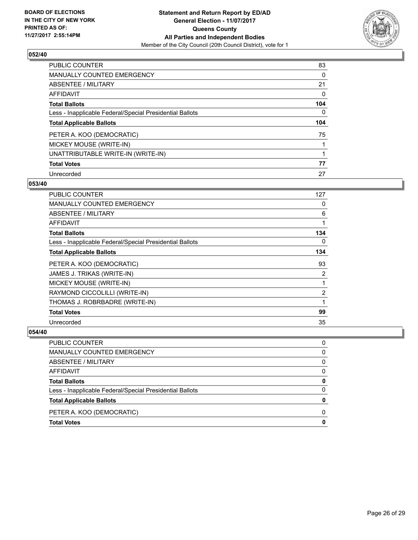

| PUBLIC COUNTER                                           | 83  |
|----------------------------------------------------------|-----|
| <b>MANUALLY COUNTED EMERGENCY</b>                        | 0   |
| ABSENTEE / MILITARY                                      | 21  |
| AFFIDAVIT                                                | 0   |
| <b>Total Ballots</b>                                     | 104 |
| Less - Inapplicable Federal/Special Presidential Ballots | 0   |
| <b>Total Applicable Ballots</b>                          | 104 |
| PETER A. KOO (DEMOCRATIC)                                | 75  |
| MICKEY MOUSE (WRITE-IN)                                  |     |
| UNATTRIBUTABLE WRITE-IN (WRITE-IN)                       |     |
| <b>Total Votes</b>                                       | 77  |
| Unrecorded                                               | 27  |

#### **053/40**

| <b>PUBLIC COUNTER</b>                                    | 127 |
|----------------------------------------------------------|-----|
| MANUALLY COUNTED EMERGENCY                               | 0   |
| ABSENTEE / MILITARY                                      | 6   |
| AFFIDAVIT                                                | 1   |
| <b>Total Ballots</b>                                     | 134 |
| Less - Inapplicable Federal/Special Presidential Ballots | 0   |
| <b>Total Applicable Ballots</b>                          | 134 |
| PETER A. KOO (DEMOCRATIC)                                | 93  |
| JAMES J. TRIKAS (WRITE-IN)                               | 2   |
| MICKEY MOUSE (WRITE-IN)                                  | 1   |
| RAYMOND CICCOLILLI (WRITE-IN)                            | 2   |
| THOMAS J. ROBRBADRE (WRITE-IN)                           | 1   |
| <b>Total Votes</b>                                       | 99  |
| Unrecorded                                               | 35  |

| PUBLIC COUNTER                                           | 0 |
|----------------------------------------------------------|---|
| MANUALLY COUNTED EMERGENCY                               | 0 |
| ABSENTEE / MILITARY                                      | 0 |
| <b>AFFIDAVIT</b>                                         | 0 |
| <b>Total Ballots</b>                                     | 0 |
| Less - Inapplicable Federal/Special Presidential Ballots | 0 |
| <b>Total Applicable Ballots</b>                          | o |
| PETER A. KOO (DEMOCRATIC)                                | O |
| <b>Total Votes</b>                                       |   |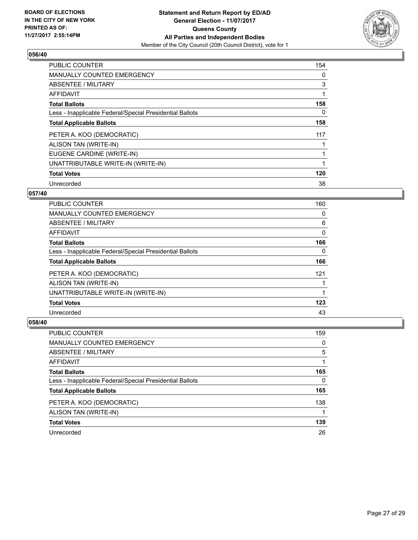

| <b>PUBLIC COUNTER</b>                                    | 154 |
|----------------------------------------------------------|-----|
| <b>MANUALLY COUNTED EMERGENCY</b>                        | 0   |
| ABSENTEE / MILITARY                                      | 3   |
| <b>AFFIDAVIT</b>                                         |     |
| <b>Total Ballots</b>                                     | 158 |
| Less - Inapplicable Federal/Special Presidential Ballots | 0   |
| <b>Total Applicable Ballots</b>                          | 158 |
| PETER A. KOO (DEMOCRATIC)                                | 117 |
| ALISON TAN (WRITE-IN)                                    |     |
| EUGENE CARDINE (WRITE-IN)                                |     |
| UNATTRIBUTABLE WRITE-IN (WRITE-IN)                       |     |
| <b>Total Votes</b>                                       | 120 |
| Unrecorded                                               | 38  |

## **057/40**

| <b>PUBLIC COUNTER</b>                                    | 160 |
|----------------------------------------------------------|-----|
| <b>MANUALLY COUNTED EMERGENCY</b>                        | 0   |
| <b>ABSENTEE / MILITARY</b>                               | 6   |
| <b>AFFIDAVIT</b>                                         | 0   |
| <b>Total Ballots</b>                                     | 166 |
| Less - Inapplicable Federal/Special Presidential Ballots | 0   |
| <b>Total Applicable Ballots</b>                          | 166 |
| PETER A. KOO (DEMOCRATIC)                                | 121 |
| ALISON TAN (WRITE-IN)                                    |     |
| UNATTRIBUTABLE WRITE-IN (WRITE-IN)                       |     |
| <b>Total Votes</b>                                       | 123 |
| Unrecorded                                               | 43  |

| <b>PUBLIC COUNTER</b>                                    | 159 |
|----------------------------------------------------------|-----|
| MANUALLY COUNTED EMERGENCY                               | 0   |
| ABSENTEE / MILITARY                                      | 5   |
| AFFIDAVIT                                                |     |
| <b>Total Ballots</b>                                     | 165 |
| Less - Inapplicable Federal/Special Presidential Ballots | 0   |
| <b>Total Applicable Ballots</b>                          | 165 |
| PETER A. KOO (DEMOCRATIC)                                | 138 |
| ALISON TAN (WRITE-IN)                                    |     |
| <b>Total Votes</b>                                       | 139 |
| Unrecorded                                               | 26  |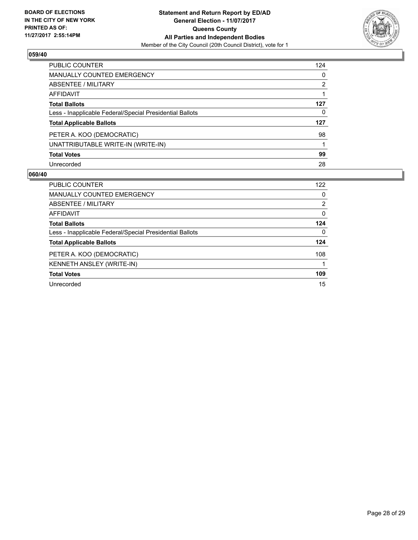

| PUBLIC COUNTER                                           | 124 |
|----------------------------------------------------------|-----|
| <b>MANUALLY COUNTED EMERGENCY</b>                        | 0   |
| ABSENTEE / MILITARY                                      | 2   |
| AFFIDAVIT                                                |     |
| <b>Total Ballots</b>                                     | 127 |
| Less - Inapplicable Federal/Special Presidential Ballots | 0   |
| <b>Total Applicable Ballots</b>                          | 127 |
| PETER A. KOO (DEMOCRATIC)                                | 98  |
| UNATTRIBUTABLE WRITE-IN (WRITE-IN)                       |     |
| <b>Total Votes</b>                                       | 99  |
| Unrecorded                                               | 28  |

| <b>PUBLIC COUNTER</b>                                    | 122 |
|----------------------------------------------------------|-----|
| MANUALLY COUNTED EMERGENCY                               | 0   |
| ABSENTEE / MILITARY                                      | 2   |
| AFFIDAVIT                                                | 0   |
| <b>Total Ballots</b>                                     | 124 |
| Less - Inapplicable Federal/Special Presidential Ballots | 0   |
| <b>Total Applicable Ballots</b>                          | 124 |
| PETER A. KOO (DEMOCRATIC)                                | 108 |
| KENNETH ANSLEY (WRITE-IN)                                |     |
| <b>Total Votes</b>                                       | 109 |
| Unrecorded                                               | 15  |